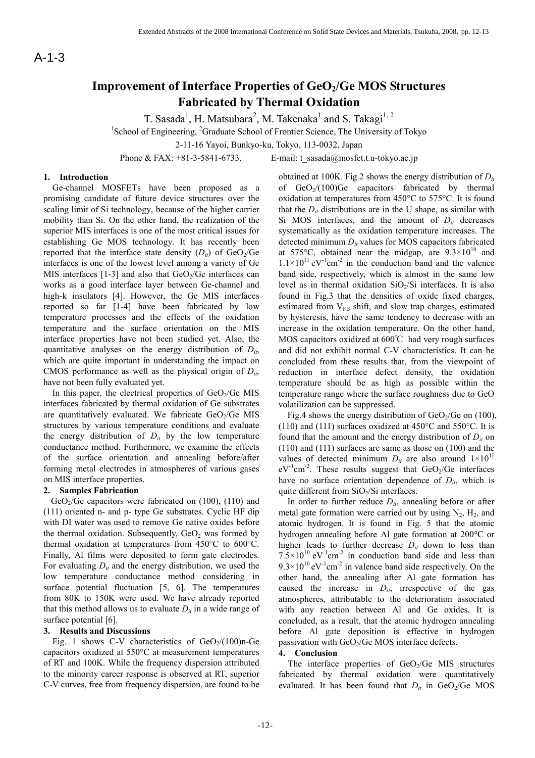# Improvement of Interface Properties of GeO<sub>2</sub>/Ge MOS Structures Fabricated by Thermal Oxidation

T. Sasada<sup>1</sup>, H. Matsubara<sup>2</sup>, M. Takenaka<sup>1</sup> and S. Takagi<sup>1, 2</sup>

<sup>1</sup>School of Engineering, <sup>2</sup>Graduate School of Frontier Science, The University of Tokyo

2-11-16 Yayoi, Bunkyo-ku, Tokyo, 113-0032, Japan

Phone & FAX:  $+81-3-5841-6733$ , E-mail: t\_sasada@mosfet.t.u-tokyo.ac.jp

## 1. Introduction

 Ge-channel MOSFETs have been proposed as a promising candidate of future device structures over the scaling limit of Si technology, because of the higher carrier mobility than Si. On the other hand, the realization of the superior MIS interfaces is one of the most critical issues for establishing Ge MOS technology. It has recently been reported that the interface state density  $(D_{ii})$  of GeO<sub>2</sub>/Ge interfaces is one of the lowest level among a variety of Ge MIS interfaces  $[1-3]$  and also that  $GeO<sub>2</sub>/Ge$  interfaces can works as a good interface layer between Ge-channel and high-k insulators [4]. However, the Ge MIS interfaces reported so far [1-4] have been fabricated by low temperature processes and the effects of the oxidation temperature and the surface orientation on the MIS interface properties have not been studied yet. Also, the quantitative analyses on the energy distribution of  $D_{it}$ , which are quite important in understanding the impact on CMOS performance as well as the physical origin of  $D_{it}$ , have not been fully evaluated yet.

In this paper, the electrical properties of  $GeO<sub>2</sub>/Ge$  MIS interfaces fabricated by thermal oxidation of Ge substrates are quantitatively evaluated. We fabricate  $GeO<sub>2</sub>/Ge$  MIS structures by various temperature conditions and evaluate the energy distribution of  $D_{it}$  by the low temperature conductance method. Furthermore, we examine the effects of the surface orientation and annealing before/after forming metal electrodes in atmospheres of various gases on MIS interface properties.

# 2. Samples Fabrication

 $GeO<sub>2</sub>/Ge$  capacitors were fabricated on (100), (110) and (111) oriented n- and p- type Ge substrates. Cyclic HF dip with DI water was used to remove Ge native oxides before the thermal oxidation. Subsequently,  $GeO<sub>2</sub>$  was formed by thermal oxidation at temperatures from 450°C to 600°C. Finally, Al films were deposited to form gate electrodes. For evaluating  $D_{it}$  and the energy distribution, we used the low temperature conductance method considering in surface potential fluctuation [5, 6]. The temperatures from 80K to 150K were used. We have already reported that this method allows us to evaluate  $D_{it}$  in a wide range of surface potential [6].

#### 3. Results and Discussions

Fig. 1 shows C-V characteristics of  $GeO<sub>2</sub>/(100)$ n-Ge capacitors oxidized at 550°C at measurement temperatures of RT and 100K. While the frequency dispersion attributed to the minority career response is observed at RT, superior C-V curves, free from frequency dispersion, are found to be

obtained at 100K. Fig.2 shows the energy distribution of  $D_{it}$ of  $GeO<sub>2</sub>/(100)Ge$  capacitors fabricated by thermal oxidation at temperatures from 450°C to 575°C. It is found that the  $D_{it}$  distributions are in the U shape, as similar with Si MOS interfaces, and the amount of  $D_{it}$  decreases systematically as the oxidation temperature increases. The detected minimum  $D_{it}$  values for MOS capacitors fabricated at 575°C, obtained near the midgap, are  $9.3 \times 10^{10}$  and  $1.1\times10^{11}$  eV<sup>-1</sup>cm<sup>-2</sup> in the conduction band and the valence band side, respectively, which is almost in the same low level as in thermal oxidation  $SiO<sub>2</sub>/Si$  interfaces. It is also found in Fig.3 that the densities of oxide fixed charges, estimated from VFB shift, and slow trap charges, estimated by hysteresis, have the same tendency to decrease with an increase in the oxidation temperature. On the other hand, MOS capacitors oxidized at 600℃ had very rough surfaces and did not exhibit normal C-V characteristics. It can be concluded from these results that, from the viewpoint of reduction in interface defect density, the oxidation temperature should be as high as possible within the temperature range where the surface roughness due to GeO volatilization can be suppressed. A-1-3<br>
Hence these that the following model and solidar beach and shall a beach and shall a beach and solidar beach and the properties of GeO/Ge MOS Structures<br>
1. Seconds 1. Nearly the properties of GeO/Ge MOS Structures

Fig.4 shows the energy distribution of  $GeO<sub>2</sub>/Ge$  on (100),  $(110)$  and  $(111)$  surfaces oxidized at 450°C and 550°C. It is found that the amount and the energy distribution of  $D_{it}$  on (110) and (111) surfaces are same as those on (100) and the values of detected minimum  $D_{it}$  are also around  $1 \times 10^{11}$  $eV<sup>-1</sup>cm<sup>-2</sup>$ . These results suggest that  $GeO<sub>2</sub>/Ge$  interfaces have no surface orientation dependence of  $D_{it}$ , which is quite different from  $SiO<sub>2</sub>/Si$  interfaces.

In order to further reduce  $D_{it}$ , annealing before or after metal gate formation were carried out by using  $N_2$ ,  $H_2$ , and atomic hydrogen. It is found in Fig. 5 that the atomic hydrogen annealing before Al gate formation at 200°C or higher leads to further decrease  $D_{it}$  down to less than  $7.5 \times 10^{10}$  eV<sup>-1</sup>cm<sup>-2</sup> in conduction band side and less than  $9.3 \times 10^{10}$  eV<sup>-1</sup>cm<sup>-2</sup> in valence band side respectively. On the other hand, the annealing after Al gate formation has caused the increase in  $D_{it}$ , irrespective of the gas atmospheres, attributable to the deterioration associated with any reaction between Al and Ge oxides. It is concluded, as a result, that the atomic hydrogen annealing before Al gate deposition is effective in hydrogen passivation with  $GeO<sub>2</sub>/Ge$  MOS interface defects.

### 4. Conclusion

The interface properties of  $GeO<sub>2</sub>/Ge$  MIS structures fabricated by thermal oxidation were quantitatively evaluated. It has been found that  $D_{it}$  in GeO<sub>2</sub>/Ge MOS